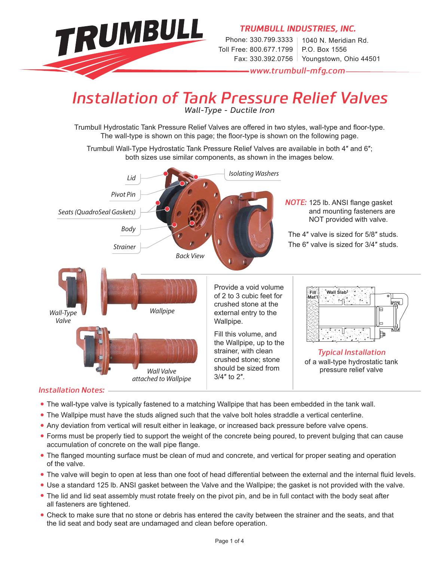

## *Installation of Tank Pressure Relief Valves*

*Wall-Type - Ductile Iron*

Trumbull Hydrostatic Tank Pressure Relief Valves are offered in two styles, wall-type and floor-type. The wall-type is shown on this page; the floor-type is shown on the following page.

Trumbull Wall-Type Hydrostatic Tank Pressure Relief Valves are available in both 4″ and 6″; both sizes use similar components, as shown in the images below.



#### *Installation Notes:*

- **•** The wall-type valve is typically fastened to a matching Wallpipe that has been embedded in the tank wall.
- **•** The Wallpipe must have the studs aligned such that the valve bolt holes straddle a vertical centerline.
- **•** Any deviation from vertical will result either in leakage, or increased back pressure before valve opens.
- **•** Forms must be properly tied to support the weight of the concrete being poured, to prevent bulging that can cause accumulation of concrete on the wall pipe flange.
- The flanged mounting surface must be clean of mud and concrete, and vertical for proper seating and operation of the valve.
- The valve will begin to open at less than one foot of head differential between the external and the internal fluid levels.
- **•** Use a standard 125 lb. ANSI gasket between the Valve and the Wallpipe; the gasket is not provided with the valve.
- **•** The lid and lid seat assembly must rotate freely on the pivot pin, and be in full contact with the body seat after all fasteners are tightened.
- **•** Check to make sure that no stone or debris has entered the cavity between the strainer and the seats, and that the lid seat and body seat are undamaged and clean before operation.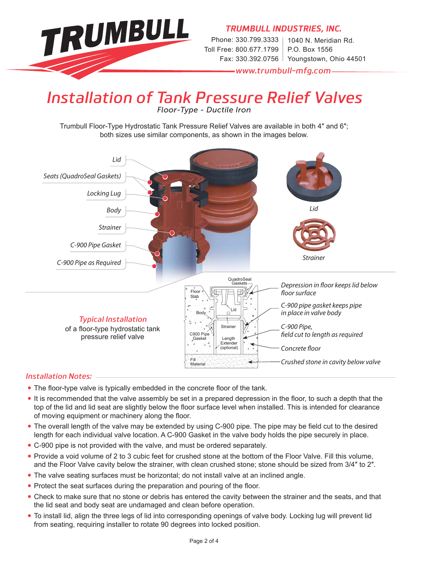

### *Installation of Tank Pressure Relief Valves Floor-Type - Ductile Iron*

Trumbull Floor-Type Hydrostatic Tank Pressure Relief Valves are available in both 4″ and 6″; both sizes use similar components, as shown in the images below.



#### *Installation Notes:*

- The floor-type valve is typically embedded in the concrete floor of the tank.
- It is recommended that the valve assembly be set in a prepared depression in the floor, to such a depth that the top of the lid and lid seat are slightly below the floor surface level when installed. This is intended for clearance of moving equipment or machinery along the floor.
- The overall length of the valve may be extended by using C-900 pipe. The pipe may be field cut to the desired length for each individual valve location. A C-900 Gasket in the valve body holds the pipe securely in place.
- **•** C-900 pipe is not provided with the valve, and must be ordered separately.
- **•** Provide a void volume of 2 to 3 cubic feet for crushed stone at the bottom of the Floor Valve. Fill this volume, and the Floor Valve cavity below the strainer, with clean crushed stone; stone should be sized from 3/4″ to 2″.
- **•** The valve seating surfaces must be horizontal; do not install valve at an inclined angle.
- Protect the seat surfaces during the preparation and pouring of the floor.
- **•** Check to make sure that no stone or debris has entered the cavity between the strainer and the seats, and that the lid seat and body seat are undamaged and clean before operation.
- **•** To install lid, align the three legs of lid into corresponding openings of valve body. Locking lug will prevent lid from seating, requiring installer to rotate 90 degrees into locked position.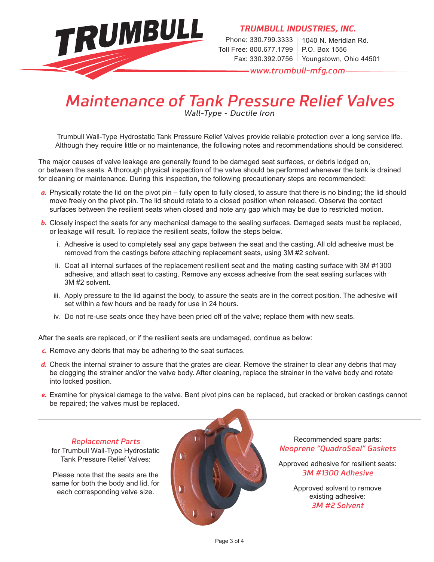

*TRUMBULL INDUSTRIES, INC.*

Phone: 330.799.3333 | 1040 N. Meridian Rd. Toll Free: 800.677.1799 Fax: 330.392.0756 Youngstown, Ohio 44501 P.O. Box 1556

*www.trumbull-mfg.com*

# *Maintenance of Tank Pressure Relief Valves*

*Wall-Type - Ductile Iron*

Trumbull Wall-Type Hydrostatic Tank Pressure Relief Valves provide reliable protection over a long service life. Although they require little or no maintenance, the following notes and recommendations should be considered.

The major causes of valve leakage are generally found to be damaged seat surfaces, or debris lodged on, or between the seats. A thorough physical inspection of the valve should be performed whenever the tank is drained for cleaning or maintenance. During this inspection, the following precautionary steps are recommended:

- *a.* Physically rotate the lid on the pivot pin fully open to fully closed, to assure that there is no binding; the lid should move freely on the pivot pin. The lid should rotate to a closed position when released. Observe the contact surfaces between the resilient seats when closed and note any gap which may be due to restricted motion.
- *b.* Closely inspect the seats for any mechanical damage to the sealing surfaces. Damaged seats must be replaced, or leakage will result. To replace the resilient seats, follow the steps below.
	- i. Adhesive is used to completely seal any gaps between the seat and the casting. All old adhesive must be removed from the castings before attaching replacement seats, using 3M #2 solvent.
	- ii. Coat all internal surfaces of the replacement resilient seat and the mating casting surface with 3M #1300 adhesive, and attach seat to casting. Remove any excess adhesive from the seat sealing surfaces with 3M #2 solvent.
	- iii. Apply pressure to the lid against the body, to assure the seats are in the correct position. The adhesive will set within a few hours and be ready for use in 24 hours.
	- iv. Do not re-use seats once they have been pried off of the valve; replace them with new seats.

After the seats are replaced, or if the resilient seats are undamaged, continue as below:

- *c.* Remove any debris that may be adhering to the seat surfaces.
- *d.* Check the internal strainer to assure that the grates are clear. Remove the strainer to clear any debris that may be clogging the strainer and/or the valve body. After cleaning, replace the strainer in the valve body and rotate into locked position.
- *e.* Examine for physical damage to the valve. Bent pivot pins can be replaced, but cracked or broken castings cannot be repaired; the valves must be replaced.

#### *Replacement Parts*

for Trumbull Wall-Type Hydrostatic Tank Pressure Relief Valves:

Please note that the seats are the same for both the body and lid, for each corresponding valve size.



Recommended spare parts: *Neoprene "QuadroSeal" Gaskets* 

Approved adhesive for resilient seats: *3M #1300 Adhesive*

> Approved solvent to remove existing adhesive: *3M #2 Solvent*